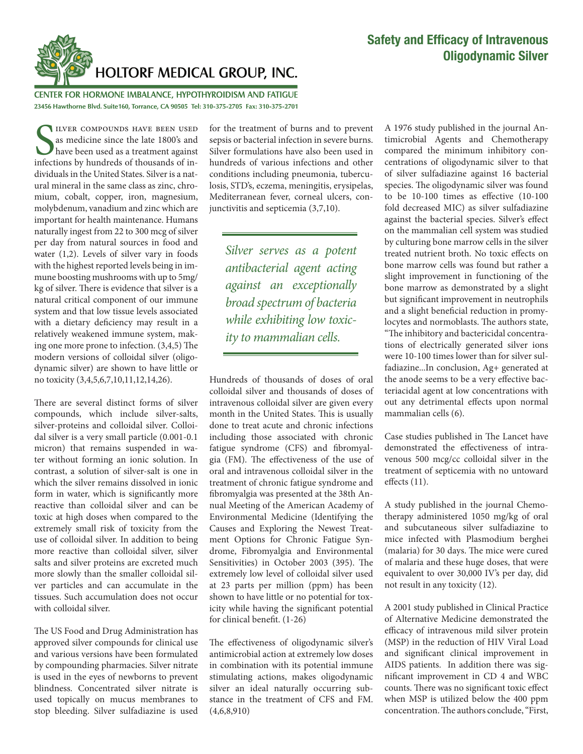

CENTER FOR HORMONE IMBALANCE, HYPOTHYROIDISM AND FATIGUE **23456 Hawthorne Blvd. Suite160, Torrance, CA 90505 Tel: 310-375-2705 Fax: 310-375-2701**

important for health maintenance. Humans naturally ingest from 22 to 300 mcg of silver ILVER COMPOUNDS HAVE BEEN USED<br>as medicine since the late 1800's and<br>have been used as a treatment against<br>infections by hundreds of thousands of in-ILVER COMPOUNDS HAVE BEEN USED as medicine since the late 1800's and have been used as a treatment against dividuals in the United States. Silver is a natural mineral in the same class as zinc, chromium, cobalt, copper, iron, magnesium, molybdenum, vanadium and zinc which are per day from natural sources in food and water (1,2). Levels of silver vary in foods with the highest reported levels being in immune boosting mushrooms with up to 5mg/ kg of silver. There is evidence that silver is a natural critical component of our immune system and that low tissue levels associated with a dietary deficiency may result in a relatively weakened immune system, making one more prone to infection. (3,4,5) The modern versions of colloidal silver (oligodynamic silver) are shown to have little or no toxicity (3,4,5,6,7,10,11,12,14,26).

There are several distinct forms of silver compounds, which include silver-salts, silver-proteins and colloidal silver. Colloidal silver is a very small particle (0.001-0.1 micron) that remains suspended in water without forming an ionic solution. In contrast, a solution of silver-salt is one in which the silver remains dissolved in ionic form in water, which is significantly more reactive than colloidal silver and can be toxic at high doses when compared to the extremely small risk of toxicity from the use of colloidal silver. In addition to being more reactive than colloidal silver, silver salts and silver proteins are excreted much more slowly than the smaller colloidal silver particles and can accumulate in the tissues. Such accumulation does not occur with colloidal silver.

The US Food and Drug Administration has approved silver compounds for clinical use and various versions have been formulated by compounding pharmacies. Silver nitrate is used in the eyes of newborns to prevent blindness. Concentrated silver nitrate is used topically on mucus membranes to stop bleeding. Silver sulfadiazine is used

for the treatment of burns and to prevent sepsis or bacterial infection in severe burns. Silver formulations have also been used in hundreds of various infections and other conditions including pneumonia, tuberculosis, STD's, eczema, meningitis, erysipelas, Mediterranean fever, corneal ulcers, conjunctivitis and septicemia (3,7,10).

*Silver serves as a potent antibacterial agent acting against an exceptionally broad spectrum of bacteria while exhibiting low toxicity to mammalian cells.*

Hundreds of thousands of doses of oral colloidal silver and thousands of doses of intravenous colloidal silver are given every month in the United States. This is usually done to treat acute and chronic infections including those associated with chronic fatigue syndrome (CFS) and fibromyalgia (FM). The effectiveness of the use of oral and intravenous colloidal silver in the treatment of chronic fatigue syndrome and fibromyalgia was presented at the 38th Annual Meeting of the American Academy of Environmental Medicine (Identifying the Causes and Exploring the Newest Treatment Options for Chronic Fatigue Syndrome, Fibromyalgia and Environmental Sensitivities) in October 2003 (395). The extremely low level of colloidal silver used at 23 parts per million (ppm) has been shown to have little or no potential for toxicity while having the significant potential for clinical benefit. (1-26)

The effectiveness of oligodynamic silver's antimicrobial action at extremely low doses in combination with its potential immune stimulating actions, makes oligodynamic silver an ideal naturally occurring substance in the treatment of CFS and FM. (4,6,8,910)

A 1976 study published in the journal Antimicrobial Agents and Chemotherapy compared the minimum inhibitory concentrations of oligodynamic silver to that of silver sulfadiazine against 16 bacterial species. The oligodynamic silver was found to be  $10-100$  times as effective  $(10-100)$ fold decreased MIC) as silver sulfadiazine against the bacterial species. Silver's effect on the mammalian cell system was studied by culturing bone marrow cells in the silver treated nutrient broth. No toxic effects on bone marrow cells was found but rather a slight improvement in functioning of the bone marrow as demonstrated by a slight but significant improvement in neutrophils and a slight beneficial reduction in promylocytes and normoblasts. The authors state, "The inhibitory and bactericidal concentrations of electrically generated silver ions were 10-100 times lower than for silver sulfadiazine...In conclusion, Ag+ generated at the anode seems to be a very effective bacteriacidal agent at low concentrations with out any detrimental effects upon normal mammalian cells (6).

Case studies published in The Lancet have demonstrated the effectiveness of intravenous 500 mcg/cc colloidal silver in the treatment of septicemia with no untoward effects (11).

A study published in the journal Chemotherapy administered 1050 mg/kg of oral and subcutaneous silver sulfadiazine to mice infected with Plasmodium berghei (malaria) for 30 days. The mice were cured of malaria and these huge doses, that were equivalent to over 30,000 IV's per day, did not result in any toxicity (12).

A 2001 study published in Clinical Practice of Alternative Medicine demonstrated the efficacy of intravenous mild silver protein (MSP) in the reduction of HIV Viral Load and significant clinical improvement in AIDS patients. In addition there was significant improvement in CD 4 and WBC counts. There was no significant toxic effect when MSP is utilized below the 400 ppm concentration. The authors conclude, "First,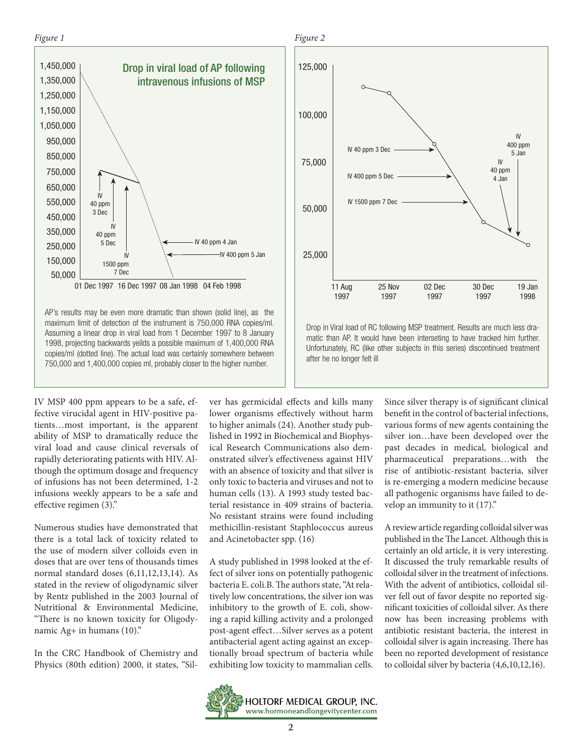## *Figure 1*



AP's results may be even more dramatic than shown (solid line), as the maximum limit of detection of the instrument is 750,000 RNA copies/ml. Assuming a linear drop in viral load from 1 December 1997 to 8 January 1998, projecting backwards yeilds a possible maximum of 1,400,000 RNA copies/ml (dotted line). The actual load was certainly somewhere between 750,000 and 1,400,000 copies ml, probably closer to the higher number.

IV MSP 400 ppm appears to be a safe, effective virucidal agent in HIV-positive patients…most important, is the apparent ability of MSP to dramatically reduce the viral load and cause clinical reversals of rapidly deteriorating patients with HIV. Although the optimum dosage and frequency of infusions has not been determined, 1-2 infusions weekly appears to be a safe and effective regimen (3)."

Numerous studies have demonstrated that there is a total lack of toxicity related to the use of modern silver colloids even in doses that are over tens of thousands times normal standard doses (6,11,12,13,14). As stated in the review of oligodynamic silver by Rentz published in the 2003 Journal of Nutritional & Environmental Medicine, "There is no known toxicity for Oligodynamic Ag+ in humans (10)."

In the CRC Handbook of Chemistry and Physics (80th edition) 2000, it states, "Silver has germicidal effects and kills many lower organisms effectively without harm to higher animals (24). Another study published in 1992 in Biochemical and Biophysical Research Communications also demonstrated silver's effectiveness against HIV with an absence of toxicity and that silver is only toxic to bacteria and viruses and not to human cells (13). A 1993 study tested bacterial resistance in 409 strains of bacteria. No resistant strains were found including methicillin-resistant Staphlococcus aureus and Acinetobacter spp. (16)

A study published in 1998 looked at the effect of silver ions on potentially pathogenic bacteria E. coli.B. The authors state, "At relatively low concentrations, the silver ion was inhibitory to the growth of E. coli, showing a rapid killing activity and a prolonged post-agent effect…Silver serves as a potent antibacterial agent acting against an exceptionally broad spectrum of bacteria while exhibiting low toxicity to mammalian cells.

Since silver therapy is of significant clinical benefit in the control of bacterial infections, various forms of new agents containing the silver ion…have been developed over the past decades in medical, biological and pharmaceutical preparations…with the rise of antibiotic-resistant bacteria, silver is re-emerging a modern medicine because all pathogenic organisms have failed to develop an immunity to it (17)."

A review article regarding colloidal silver was published in the The Lancet. Although this is certainly an old article, it is very interesting. It discussed the truly remarkable results of colloidal silver in the treatment of infections. With the advent of antibiotics, colloidal silver fell out of favor despite no reported significant toxicities of colloidal silver. As there now has been increasing problems with antibiotic resistant bacteria, the interest in colloidal silver is again increasing. There has been no reported development of resistance to colloidal silver by bacteria (4,6,10,12,16).





Drop in Viral load of RC following MSP treatment. Results are much less dramatic than AP. It would have been interseting to have tracked him further. Unfortunately, RC (like other subjects in this series) discontinued treatment after he no longer felt ill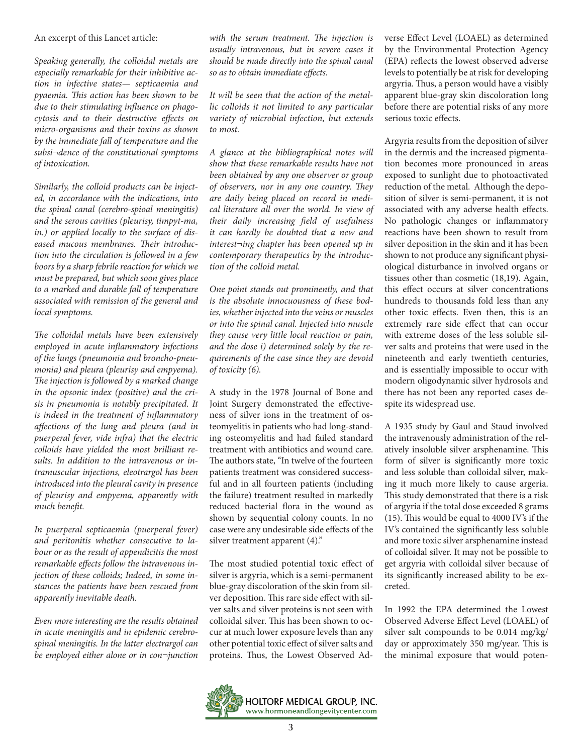An excerpt of this Lancet article:

*Speaking generally, the colloidal metals are especially remarkable for their inhibitive action in infective states— septicaemia and pyaemia. This action has been shown to be due to their stimulating influence on phagocytosis and to their destructive effects on micro-organisms and their toxins as shown by the immediate fall of temperature and the subsi¬dence of the constitutional symptoms of intoxication.*

*Similarly, the colloid products can be injected, in accordance with the indications, into the spinal canal (cerebro-spioal meningitis) and the serous cavities (pleurisy, timpyt-ma, in.) or applied locally to the surface of diseased mucous membranes. Their introduction into the circulation is followed in a few boors by a sharp febrile reaction for which we must be prepared, but which soon gives place to a marked and durable fall of temperature associated with remission of the general and local symptoms.*

*The colloidal metals have been extensively employed in acute inflammatory infections of the lungs (pneumonia and broncho-pneumonia) and pleura (pleurisy and empyema). The injection is followed by a marked change in the opsonic index (positive) and the crisis in pneumonia is notably precipitated. It is indeed in the treatment of inflammatory affections of the lung and pleura (and in puerperal fever, vide infra) that the electric colloids have yielded the most brilliant results. In addition to the intravenous or intramuscular injections, eleotrargol has been introduced into the pleural cavity in presence of pleurisy and empyema, apparently with much benefit.*

*In puerperal septicaemia (puerperal fever) and peritonitis whether consecutive to labour or as the result of appendicitis the most remarkable effects follow the intravenous injection of these colloids; Indeed, in some instances the patients have been rescued from apparently inevitable death.*

*Even more interesting are the results obtained in acute meningitis and in epidemic cerebrospinal meningitis. In the latter electrargol can be employed either alone or in con¬junction* 

*with the serum treatment. The injection is usually intravenous, but in severe cases it should be made directly into the spinal canal so as to obtain immediate effects.*

*It will be seen that the action of the metallic colloids it not limited to any particular variety of microbial infection, but extends to most.*

*A glance at the bibliographical notes will show that these remarkable results have not been obtained by any one observer or group of observers, nor in any one country. They are daily being placed on record in medical literature all over the world. In view of their daily increasing field of usefulness it can hardly be doubted that a new and interest¬ing chapter has been opened up in contemporary therapeutics by the introduction of the colloid metal.*

*One point stands out prominently, and that is the absolute innocuousness of these bodies, whether injected into the veins or muscles or into the spinal canal. Injected into muscle they cause very little local reaction or pain, and the dose i) determined solely by the requirements of the case since they are devoid of toxicity (6).*

A study in the 1978 Journal of Bone and Joint Surgery demonstrated the effectiveness of silver ions in the treatment of osteomyelitis in patients who had long-standing osteomyelitis and had failed standard treatment with antibiotics and wound care. The authors state, "In twelve of the fourteen patients treatment was considered successful and in all fourteen patients (including the failure) treatment resulted in markedly reduced bacterial flora in the wound as shown by sequential colony counts. In no case were any undesirable side effects of the silver treatment apparent (4)."

The most studied potential toxic effect of silver is argyria, which is a semi-permanent blue-gray discoloration of the skin from silver deposition. This rare side effect with silver salts and silver proteins is not seen with colloidal silver. This has been shown to occur at much lower exposure levels than any other potential toxic effect of silver salts and proteins. Thus, the Lowest Observed Adverse Effect Level (LOAEL) as determined by the Environmental Protection Agency (EPA) reflects the lowest observed adverse levels to potentially be at risk for developing argyria. Thus, a person would have a visibly apparent blue-gray skin discoloration long before there are potential risks of any more serious toxic effects.

Argyria results from the deposition of silver in the dermis and the increased pigmentation becomes more pronounced in areas exposed to sunlight due to photoactivated reduction of the metal. Although the deposition of silver is semi-permanent, it is not associated with any adverse health effects. No pathologic changes or inflammatory reactions have been shown to result from silver deposition in the skin and it has been shown to not produce any significant physiological disturbance in involved organs or tissues other than cosmetic (18,19). Again, this effect occurs at silver concentrations hundreds to thousands fold less than any other toxic effects. Even then, this is an extremely rare side effect that can occur with extreme doses of the less soluble silver salts and proteins that were used in the nineteenth and early twentieth centuries, and is essentially impossible to occur with modern oligodynamic silver hydrosols and there has not been any reported cases despite its widespread use.

A 1935 study by Gaul and Staud involved the intravenously administration of the relatively insoluble silver arsphenamine. This form of silver is significantly more toxic and less soluble than colloidal silver, making it much more likely to cause argeria. This study demonstrated that there is a risk of argyria if the total dose exceeded 8 grams (15). This would be equal to 4000 IV's if the IV's contained the significantly less soluble and more toxic silver arsphenamine instead of colloidal silver. It may not be possible to get argyria with colloidal silver because of its significantly increased ability to be excreted.

In 1992 the EPA determined the Lowest Observed Adverse Effect Level (LOAEL) of silver salt compounds to be 0.014 mg/kg/ day or approximately 350 mg/year. This is the minimal exposure that would poten-